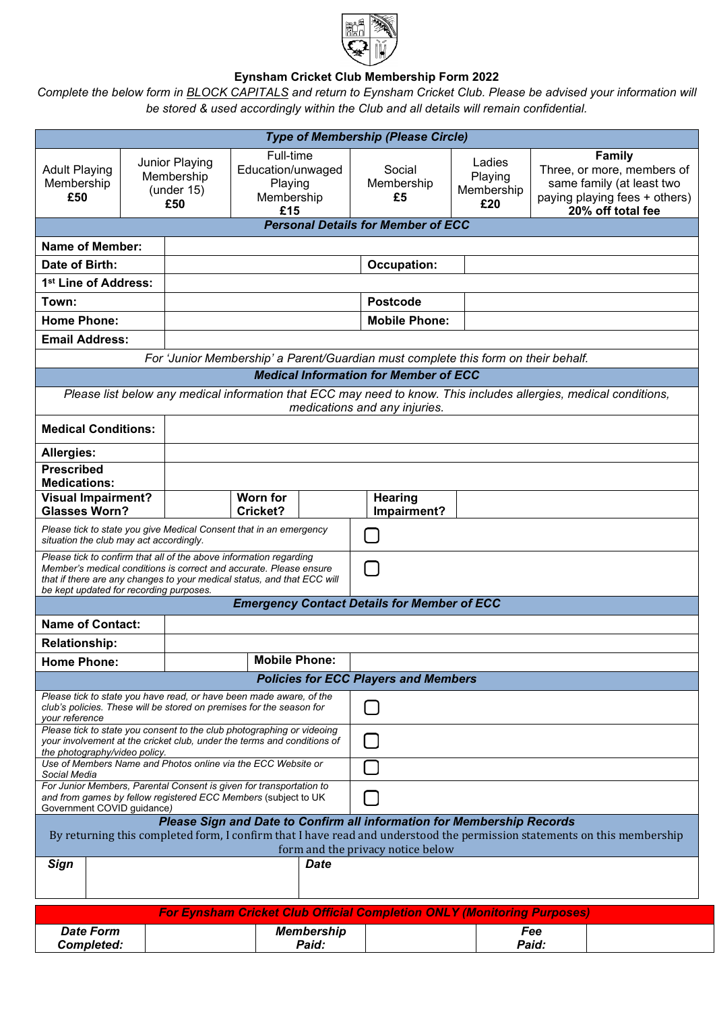

## **Eynsham Cricket Club Membership Form 2022**

*Complete the below form in BLOCK CAPITALS and return to Eynsham Cricket Club. Please be advised your information will be stored & used accordingly within the Club and all details will remain confidential.*

| <b>Type of Membership (Please Circle)</b>                                                                                                                                                                                                                                |                                                      |                                           |                                                                |  |                               |                                        |  |                                                                                                                                |  |
|--------------------------------------------------------------------------------------------------------------------------------------------------------------------------------------------------------------------------------------------------------------------------|------------------------------------------------------|-------------------------------------------|----------------------------------------------------------------|--|-------------------------------|----------------------------------------|--|--------------------------------------------------------------------------------------------------------------------------------|--|
| <b>Adult Playing</b><br>Membership<br>£50                                                                                                                                                                                                                                | Junior Playing<br>Membership<br>(under $15$ )<br>£50 |                                           | Full-time<br>Education/unwaged<br>Playing<br>Membership<br>£15 |  | Social<br>Membership<br>£5    | Ladies<br>Playing<br>Membership<br>£20 |  | <b>Family</b><br>Three, or more, members of<br>same family (at least two<br>paying playing fees + others)<br>20% off total fee |  |
| <b>Personal Details for Member of ECC</b>                                                                                                                                                                                                                                |                                                      |                                           |                                                                |  |                               |                                        |  |                                                                                                                                |  |
| <b>Name of Member:</b>                                                                                                                                                                                                                                                   |                                                      |                                           |                                                                |  |                               |                                        |  |                                                                                                                                |  |
| Date of Birth:                                                                                                                                                                                                                                                           |                                                      |                                           |                                                                |  | <b>Occupation:</b>            |                                        |  |                                                                                                                                |  |
| 1 <sup>st</sup> Line of Address:                                                                                                                                                                                                                                         |                                                      |                                           |                                                                |  |                               |                                        |  |                                                                                                                                |  |
| Town:                                                                                                                                                                                                                                                                    |                                                      |                                           |                                                                |  | <b>Postcode</b>               |                                        |  |                                                                                                                                |  |
| <b>Home Phone:</b>                                                                                                                                                                                                                                                       |                                                      |                                           |                                                                |  | <b>Mobile Phone:</b>          |                                        |  |                                                                                                                                |  |
| <b>Email Address:</b>                                                                                                                                                                                                                                                    |                                                      |                                           |                                                                |  |                               |                                        |  |                                                                                                                                |  |
| For 'Junior Membership' a Parent/Guardian must complete this form on their behalf.                                                                                                                                                                                       |                                                      |                                           |                                                                |  |                               |                                        |  |                                                                                                                                |  |
| <b>Medical Information for Member of ECC</b>                                                                                                                                                                                                                             |                                                      |                                           |                                                                |  |                               |                                        |  |                                                                                                                                |  |
| Please list below any medical information that ECC may need to know. This includes allergies, medical conditions,<br>medications and any injuries.                                                                                                                       |                                                      |                                           |                                                                |  |                               |                                        |  |                                                                                                                                |  |
| <b>Medical Conditions:</b>                                                                                                                                                                                                                                               |                                                      |                                           |                                                                |  |                               |                                        |  |                                                                                                                                |  |
| <b>Allergies:</b>                                                                                                                                                                                                                                                        |                                                      |                                           |                                                                |  |                               |                                        |  |                                                                                                                                |  |
| <b>Prescribed</b><br><b>Medications:</b>                                                                                                                                                                                                                                 |                                                      |                                           |                                                                |  |                               |                                        |  |                                                                                                                                |  |
| <b>Visual Impairment?</b><br><b>Glasses Worn?</b>                                                                                                                                                                                                                        |                                                      |                                           | <b>Worn for</b><br>Cricket?                                    |  | <b>Hearing</b><br>Impairment? |                                        |  |                                                                                                                                |  |
| Please tick to state you give Medical Consent that in an emergency<br>situation the club may act accordingly.                                                                                                                                                            |                                                      |                                           |                                                                |  | ţΙ                            |                                        |  |                                                                                                                                |  |
| Please tick to confirm that all of the above information regarding<br>$\Box$<br>Member's medical conditions is correct and accurate. Please ensure<br>that if there are any changes to your medical status, and that ECC will<br>be kept updated for recording purposes. |                                                      |                                           |                                                                |  |                               |                                        |  |                                                                                                                                |  |
| <b>Emergency Contact Details for Member of ECC</b>                                                                                                                                                                                                                       |                                                      |                                           |                                                                |  |                               |                                        |  |                                                                                                                                |  |
| <b>Name of Contact:</b>                                                                                                                                                                                                                                                  |                                                      |                                           |                                                                |  |                               |                                        |  |                                                                                                                                |  |
| <b>Relationship:</b>                                                                                                                                                                                                                                                     |                                                      |                                           |                                                                |  |                               |                                        |  |                                                                                                                                |  |
| <b>Home Phone:</b>                                                                                                                                                                                                                                                       |                                                      | <b>Mobile Phone:</b>                      |                                                                |  |                               |                                        |  |                                                                                                                                |  |
| <b>Policies for ECC Players and Members</b>                                                                                                                                                                                                                              |                                                      |                                           |                                                                |  |                               |                                        |  |                                                                                                                                |  |
| Please tick to state you have read, or have been made aware, of the<br>club's policies. These will be stored on premises for the season for<br>your reference                                                                                                            |                                                      |                                           |                                                                |  |                               |                                        |  |                                                                                                                                |  |
| Please tick to state you consent to the club photographing or videoing<br>your involvement at the cricket club, under the terms and conditions of<br>the photography/video policy.                                                                                       |                                                      |                                           |                                                                |  |                               |                                        |  |                                                                                                                                |  |
| Use of Members Name and Photos online via the ECC Website or<br>Social Media                                                                                                                                                                                             |                                                      |                                           |                                                                |  |                               |                                        |  |                                                                                                                                |  |
| For Junior Members, Parental Consent is given for transportation to<br>and from games by fellow registered ECC Members (subject to UK<br>Government COVID guidance)                                                                                                      |                                                      |                                           |                                                                |  |                               |                                        |  |                                                                                                                                |  |
| Please Sign and Date to Confirm all information for Membership Records<br>By returning this completed form, I confirm that I have read and understood the permission statements on this membership                                                                       |                                                      |                                           |                                                                |  |                               |                                        |  |                                                                                                                                |  |
| Sign                                                                                                                                                                                                                                                                     |                                                      | form and the privacy notice below<br>Date |                                                                |  |                               |                                        |  |                                                                                                                                |  |
|                                                                                                                                                                                                                                                                          |                                                      |                                           |                                                                |  |                               |                                        |  |                                                                                                                                |  |
| <b>For Eynsham Cricket Club Official Completion ONLY (Monitoring Purposes)</b>                                                                                                                                                                                           |                                                      |                                           |                                                                |  |                               |                                        |  |                                                                                                                                |  |
| <b>Date Form</b><br><b>Completed:</b>                                                                                                                                                                                                                                    |                                                      | <b>Membership</b><br>Paid:                |                                                                |  |                               | Fee<br>Paid:                           |  |                                                                                                                                |  |